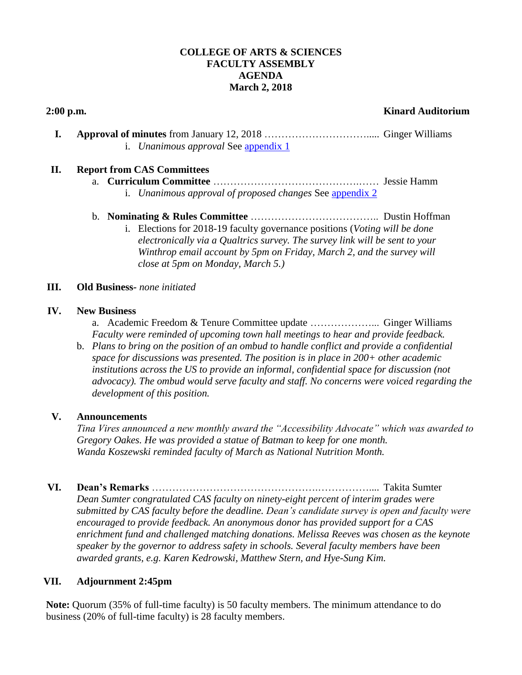### **COLLEGE OF ARTS & SCIENCES FACULTY ASSEMBLY AGENDA March 2, 2018**

# **2:00 p.m. Kinard Auditorium**

**I. Approval of minutes** from January 12, 2018 …………………………..... Ginger Williams i. *Unanimous approval* See [appendix 1](#page-2-0)

# **II. Report from CAS Committees**

a. **Curriculum Committee** …………………………………….…… Jessie Hamm i. *Unanimous approval of proposed changes* See [appendix 2](#page-3-0)

#### b. **Nominating & Rules Committee** ……………………………….. Dustin Hoffman

i. Elections for 2018-19 faculty governance positions (*Voting will be done electronically via a Qualtrics survey. The survey link will be sent to your Winthrop email account by 5pm on Friday, March 2, and the survey will close at 5pm on Monday, March 5.)*

### **III. Old Business***- none initiated*

#### **IV. New Business**

a. Academic Freedom & Tenure Committee update ………………... Ginger Williams *Faculty were reminded of upcoming town hall meetings to hear and provide feedback.* 

b. *Plans to bring on the position of an ombud to handle conflict and provide a confidential space for discussions was presented. The position is in place in 200+ other academic institutions across the US to provide an informal, confidential space for discussion (not advocacy). The ombud would serve faculty and staff. No concerns were voiced regarding the development of this position.* 

#### **V. Announcements**

*Tina Vires announced a new monthly award the "Accessibility Advocate" which was awarded to Gregory Oakes. He was provided a statue of Batman to keep for one month. Wanda Koszewski reminded faculty of March as National Nutrition Month.* 

**VI. Dean's Remarks** ………………………………………….…………….... Takita Sumter

*Dean Sumter congratulated CAS faculty on ninety-eight percent of interim grades were submitted by CAS faculty before the deadline. Dean's candidate survey is open and faculty were encouraged to provide feedback. An anonymous donor has provided support for a CAS enrichment fund and challenged matching donations. Melissa Reeves was chosen as the keynote speaker by the governor to address safety in schools. Several faculty members have been awarded grants, e.g. Karen Kedrowski, Matthew Stern, and Hye-Sung Kim.* 

## **VII. Adjournment 2:45pm**

**Note:** Quorum (35% of full-time faculty) is 50 faculty members. The minimum attendance to do business (20% of full-time faculty) is 28 faculty members.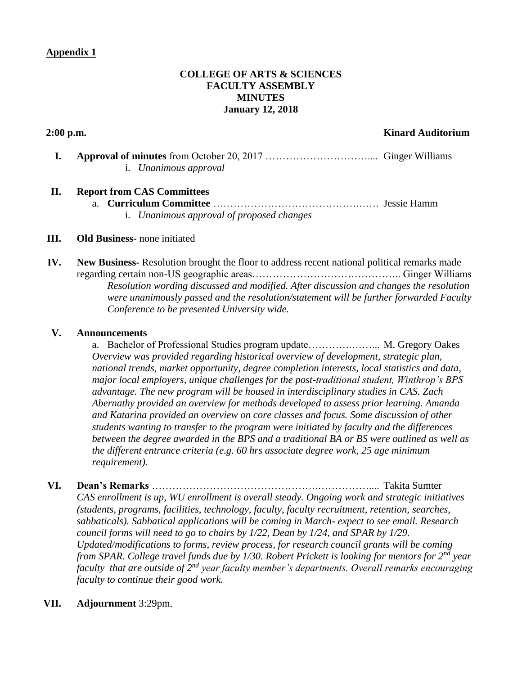# <span id="page-2-0"></span>**Appendix 1**

# **COLLEGE OF ARTS & SCIENCES FACULTY ASSEMBLY MINUTES January 12, 2018**

#### **2:00 p.m. Kinard Auditorium**

**I. Approval of minutes** from October 20, 2017 ………………………….... Ginger Williams i. *Unanimous approval*

# **II. Report from CAS Committees**

a. **Curriculum Committee** …………………………………….…… Jessie Hamm i. *Unanimous approval of proposed changes*

#### **III. Old Business-** none initiated

**IV. New Business-** Resolution brought the floor to address recent national political remarks made regarding certain non-US geographic areas…………………………………….. Ginger Williams *Resolution wording discussed and modified. After discussion and changes the resolution were unanimously passed and the resolution/statement will be further forwarded Faculty Conference to be presented University wide.* 

#### **V. Announcements**

a. Bachelor of Professional Studies program update………….……... M. Gregory Oakes *Overview was provided regarding historical overview of development, strategic plan, national trends, market opportunity, degree completion interests, local statistics and data, major local employers, unique challenges for the post-traditional student, Winthrop's BPS advantage. The new program will be housed in interdisciplinary studies in CAS. Zach Abernathy provided an overview for methods developed to assess prior learning. Amanda and Katarina provided an overview on core classes and focus. Some discussion of other students wanting to transfer to the program were initiated by faculty and the differences between the degree awarded in the BPS and a traditional BA or BS were outlined as well as the different entrance criteria (e.g. 60 hrs associate degree work, 25 age minimum requirement).* 

**VI. Dean's Remarks** ………………………………………….…………….... Takita Sumter *CAS enrollment is up, WU enrollment is overall steady. Ongoing work and strategic initiatives (students, programs, facilities, technology, faculty, faculty recruitment, retention, searches, sabbaticals). Sabbatical applications will be coming in March- expect to see email. Research council forms will need to go to chairs by 1/22, Dean by 1/24, and SPAR by 1/29. Updated/modifications to forms, review process, for research council grants will be coming from SPAR. College travel funds due by 1/30. Robert Prickett is looking for mentors for 2nd year faculty that are outside of 2nd year faculty member's departments. Overall remarks encouraging faculty to continue their good work.* 

#### **VII. Adjournment** 3:29pm.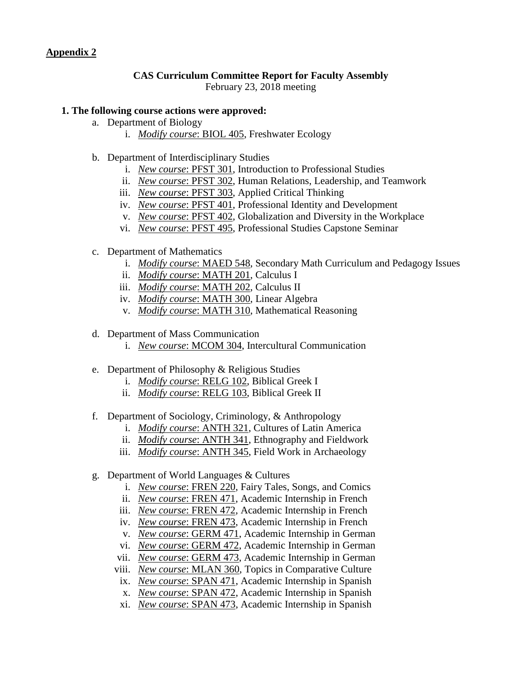# <span id="page-3-0"></span>**Appendix 2**

# **CAS Curriculum Committee Report for Faculty Assembly**

February 23, 2018 meeting

## **1. The following course actions were approved:**

- a. Department of Biology
	- i. *Modify course*: BIOL 405, Freshwater Ecology
- b. Department of Interdisciplinary Studies
	- i. *New course*: PFST 301, Introduction to Professional Studies
	- ii. *New course*: PFST 302, Human Relations, Leadership, and Teamwork
	- iii. *New course*: PFST 303, Applied Critical Thinking
	- iv. *New course*: PFST 401, Professional Identity and Development
	- v. *New course*: PFST 402, Globalization and Diversity in the Workplace
	- vi. *New course*: PFST 495, Professional Studies Capstone Seminar
- c. Department of Mathematics
	- i. *Modify course*: MAED 548, Secondary Math Curriculum and Pedagogy Issues
	- ii. *Modify course*: MATH 201, Calculus I
	- iii. *Modify course*: MATH 202, Calculus II
	- iv. *Modify course*: MATH 300, Linear Algebra
	- v. *Modify course*: MATH 310, Mathematical Reasoning
- d. Department of Mass Communication
	- i. *New course*: MCOM 304, Intercultural Communication
- e. Department of Philosophy & Religious Studies
	- i. *Modify course*: RELG 102, Biblical Greek I
	- ii. *Modify course*: RELG 103, Biblical Greek II
- f. Department of Sociology, Criminology, & Anthropology
	- i. *Modify course*: ANTH 321, Cultures of Latin America
	- ii. *Modify course*: ANTH 341, Ethnography and Fieldwork
	- iii. *Modify course*: ANTH 345, Field Work in Archaeology
- g. Department of World Languages & Cultures
	- i. *New course*: FREN 220, Fairy Tales, Songs, and Comics
	- ii. *New course*: FREN 471, Academic Internship in French
	- iii. *New course*: FREN 472, Academic Internship in French
	- iv. *New course*: FREN 473, Academic Internship in French
	- v. *New course*: GERM 471, Academic Internship in German
	- vi. *New course*: GERM 472, Academic Internship in German
	- vii. *New course*: GERM 473, Academic Internship in German
	- viii. *New course*: MLAN 360, Topics in Comparative Culture
	- ix. *New course*: SPAN 471, Academic Internship in Spanish
	- x. *New course*: SPAN 472, Academic Internship in Spanish
	- xi. *New course*: SPAN 473, Academic Internship in Spanish